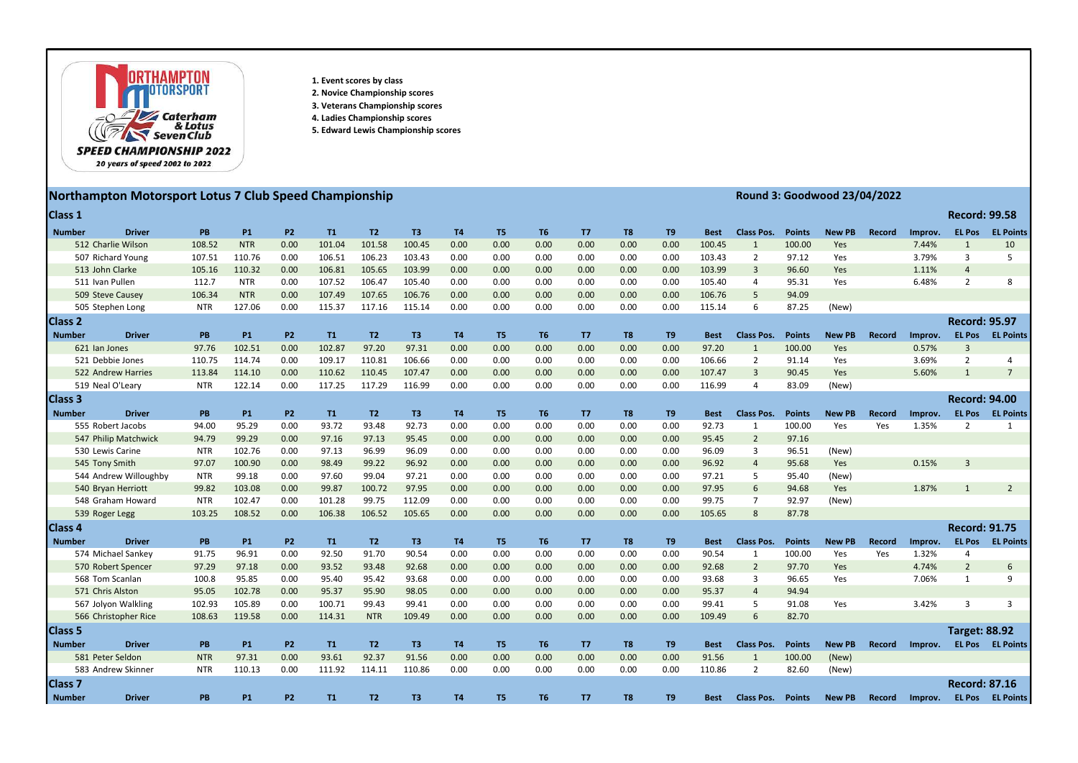

- 1. Event scores by class
- 2. Novice Championship scores
- 3. Veterans Championship scores
- 4. Ladies Championship scores
- 5. Edward Lewis Championship scores

## Northampton Motorsport Lotus 7 Club Speed Championship **Round 3: Goodwood 23/04/2022**

| Class 1         |                       |            |            |           |        |                |                |                |                |                |                |                |                |             |                   |               |               |               |         | <b>Record: 99.58</b> |                  |
|-----------------|-----------------------|------------|------------|-----------|--------|----------------|----------------|----------------|----------------|----------------|----------------|----------------|----------------|-------------|-------------------|---------------|---------------|---------------|---------|----------------------|------------------|
| <b>Number</b>   | <b>Driver</b>         | <b>PB</b>  | <b>P1</b>  | <b>P2</b> | T1     | T <sub>2</sub> | T <sub>3</sub> | <b>T4</b>      | T <sub>5</sub> | T <sub>6</sub> | T7             | T <sub>8</sub> | T <sub>9</sub> | <b>Best</b> | <b>Class Pos.</b> | <b>Points</b> | <b>New PB</b> | <b>Record</b> | Improv. | <b>EL Pos</b>        | <b>EL Points</b> |
|                 | 512 Charlie Wilson    | 108.52     | <b>NTR</b> | 0.00      | 101.04 | 101.58         | 100.45         | 0.00           | 0.00           | 0.00           | 0.00           | 0.00           | 0.00           | 100.45      | -1                | 100.00        | Yes           |               | 7.44%   | $\mathbf{1}$         | 10               |
|                 | 507 Richard Young     | 107.51     | 110.76     | 0.00      | 106.51 | 106.23         | 103.43         | 0.00           | 0.00           | 0.00           | 0.00           | 0.00           | 0.00           | 103.43      | $\overline{2}$    | 97.12         | Yes           |               | 3.79%   | $\overline{3}$       | 5                |
|                 | 513 John Clarke       | 105.16     | 110.32     | 0.00      | 106.81 | 105.65         | 103.99         | 0.00           | 0.00           | 0.00           | 0.00           | 0.00           | 0.00           | 103.99      | $\mathbf{3}$      | 96.60         | Yes           |               | 1.11%   | $\overline{a}$       |                  |
| 511 Ivan Pullen |                       | 112.7      | <b>NTR</b> | 0.00      | 107.52 | 106.47         | 105.40         | 0.00           | 0.00           | 0.00           | 0.00           | 0.00           | 0.00           | 105.40      | 4                 | 95.31         | Yes           |               | 6.48%   | $\overline{2}$       | 8                |
|                 | 509 Steve Causey      | 106.34     | <b>NTR</b> | 0.00      | 107.49 | 107.65         | 106.76         | 0.00           | 0.00           | 0.00           | 0.00           | 0.00           | 0.00           | 106.76      | 5                 | 94.09         |               |               |         |                      |                  |
|                 | 505 Stephen Long      | <b>NTR</b> | 127.06     | 0.00      | 115.37 | 117.16         | 115.14         | 0.00           | 0.00           | 0.00           | 0.00           | 0.00           | 0.00           | 115.14      | 6                 | 87.25         | (New)         |               |         |                      |                  |
| <b>Class 2</b>  |                       |            |            |           |        |                |                |                |                |                |                |                |                |             |                   |               |               |               |         | <b>Record: 95.97</b> |                  |
| <b>Number</b>   | <b>Driver</b>         | <b>PB</b>  | <b>P1</b>  | <b>P2</b> | T1     | T2             | T <sub>3</sub> | T <sub>4</sub> | T <sub>5</sub> | T <sub>6</sub> | <b>T7</b>      | T <sub>8</sub> | T <sub>9</sub> | <b>Best</b> | <b>Class Pos.</b> | <b>Points</b> | <b>New PB</b> | <b>Record</b> | Improv. | <b>EL Pos</b>        | <b>EL Points</b> |
|                 | 621 Ian Jones         | 97.76      | 102.51     | 0.00      | 102.87 | 97.20          | 97.31          | 0.00           | 0.00           | 0.00           | 0.00           | 0.00           | 0.00           | 97.20       | 1                 | 100.00        | Yes           |               | 0.57%   | $\overline{3}$       |                  |
|                 | 521 Debbie Jones      | 110.75     | 114.74     | 0.00      | 109.17 | 110.81         | 106.66         | 0.00           | 0.00           | 0.00           | 0.00           | 0.00           | 0.00           | 106.66      | $\overline{2}$    | 91.14         | Yes           |               | 3.69%   | $\overline{2}$       |                  |
|                 | 522 Andrew Harries    | 113.84     | 114.10     | 0.00      | 110.62 | 110.45         | 107.47         | 0.00           | 0.00           | 0.00           | 0.00           | 0.00           | 0.00           | 107.47      | $\overline{3}$    | 90.45         | Yes           |               | 5.60%   | $\mathbf{1}$         | $\overline{7}$   |
|                 | 519 Neal O'Leary      | <b>NTR</b> | 122.14     | 0.00      | 117.25 | 117.29         | 116.99         | 0.00           | 0.00           | 0.00           | 0.00           | 0.00           | 0.00           | 116.99      | $\overline{a}$    | 83.09         | (New)         |               |         |                      |                  |
| <b>Class 3</b>  |                       |            |            |           |        |                |                |                |                |                |                |                |                |             |                   |               |               |               |         | <b>Record: 94.00</b> |                  |
| <b>Number</b>   | <b>Driver</b>         | <b>PB</b>  | <b>P1</b>  | <b>P2</b> | T1     | T2             | T <sub>3</sub> | <b>T4</b>      | T <sub>5</sub> | <b>T6</b>      | <b>T7</b>      | T <sub>8</sub> | T <sub>9</sub> | <b>Best</b> | <b>Class Pos.</b> | <b>Points</b> | <b>New PB</b> | <b>Record</b> | Improv. | <b>EL Pos</b>        | <b>EL Points</b> |
|                 | 555 Robert Jacobs     | 94.00      | 95.29      | 0.00      | 93.72  | 93.48          | 92.73          | 0.00           | 0.00           | 0.00           | 0.00           | 0.00           | 0.00           | 92.73       | 1                 | 100.00        | Yes           | Yes           | 1.35%   | 2                    |                  |
|                 | 547 Philip Matchwick  | 94.79      | 99.29      | 0.00      | 97.16  | 97.13          | 95.45          | 0.00           | 0.00           | 0.00           | 0.00           | 0.00           | 0.00           | 95.45       | $\overline{2}$    | 97.16         |               |               |         |                      |                  |
|                 | 530 Lewis Carine      | <b>NTR</b> | 102.76     | 0.00      | 97.13  | 96.99          | 96.09          | 0.00           | 0.00           | 0.00           | 0.00           | 0.00           | 0.00           | 96.09       | $\mathbf{3}$      | 96.51         | (New)         |               |         |                      |                  |
|                 | 545 Tony Smith        | 97.07      | 100.90     | 0.00      | 98.49  | 99.22          | 96.92          | 0.00           | 0.00           | 0.00           | 0.00           | 0.00           | 0.00           | 96.92       | $\overline{4}$    | 95.68         | Yes           |               | 0.15%   | $\overline{3}$       |                  |
|                 | 544 Andrew Willoughby | <b>NTR</b> | 99.18      | 0.00      | 97.60  | 99.04          | 97.21          | 0.00           | 0.00           | 0.00           | 0.00           | 0.00           | 0.00           | 97.21       | 5                 | 95.40         | (New)         |               |         |                      |                  |
|                 | 540 Bryan Herriott    | 99.82      | 103.08     | 0.00      | 99.87  | 100.72         | 97.95          | 0.00           | 0.00           | 0.00           | 0.00           | 0.00           | 0.00           | 97.95       | 6                 | 94.68         | Yes           |               | 1.87%   | $\mathbf{1}$         | $\overline{2}$   |
|                 | 548 Graham Howard     | <b>NTR</b> | 102.47     | 0.00      | 101.28 | 99.75          | 112.09         | 0.00           | 0.00           | 0.00           | 0.00           | 0.00           | 0.00           | 99.75       | $\overline{7}$    | 92.97         | (New)         |               |         |                      |                  |
|                 | 539 Roger Legg        | 103.25     | 108.52     | 0.00      | 106.38 | 106.52         | 105.65         | 0.00           | 0.00           | 0.00           | 0.00           | 0.00           | 0.00           | 105.65      | 8                 | 87.78         |               |               |         |                      |                  |
| <b>Class 4</b>  |                       |            |            |           |        |                |                |                |                |                |                |                |                |             |                   |               |               |               |         | <b>Record: 91.75</b> |                  |
| <b>Number</b>   | <b>Driver</b>         | <b>PB</b>  | <b>P1</b>  | <b>P2</b> | T1     | T2             | T <sub>3</sub> | T <sub>4</sub> | T <sub>5</sub> | T <sub>6</sub> | T <sub>7</sub> | T <sub>8</sub> | T <sub>9</sub> | <b>Best</b> | <b>Class Pos.</b> | <b>Points</b> | <b>New PB</b> | <b>Record</b> | Improv. | <b>EL Pos</b>        | <b>EL Points</b> |
|                 | 574 Michael Sankey    | 91.75      | 96.91      | 0.00      | 92.50  | 91.70          | 90.54          | 0.00           | 0.00           | 0.00           | 0.00           | 0.00           | 0.00           | 90.54       | -1                | 100.00        | Yes           | Yes           | 1.32%   | $\overline{A}$       |                  |
|                 | 570 Robert Spencer    | 97.29      | 97.18      | 0.00      | 93.52  | 93.48          | 92.68          | 0.00           | 0.00           | 0.00           | 0.00           | 0.00           | 0.00           | 92.68       | $\overline{2}$    | 97.70         | Yes           |               | 4.74%   | $\overline{2}$       | 6                |
| 568 Tom Scanlan |                       | 100.8      | 95.85      | 0.00      | 95.40  | 95.42          | 93.68          | 0.00           | 0.00           | 0.00           | 0.00           | 0.00           | 0.00           | 93.68       | 3                 | 96.65         | Yes           |               | 7.06%   | $\mathbf{1}$         | 9                |

| Class 1        |                       |            |            |                |        |                |        |                |                |                |                |                |      |             |                          |               |               |               |         | <b>Record: 99.58</b> |                                 |
|----------------|-----------------------|------------|------------|----------------|--------|----------------|--------|----------------|----------------|----------------|----------------|----------------|------|-------------|--------------------------|---------------|---------------|---------------|---------|----------------------|---------------------------------|
| <b>Number</b>  | <b>Driver</b>         | <b>PB</b>  | <b>P1</b>  | P <sub>2</sub> | T1     | T2             | T3     | T4             | T <sub>5</sub> | T <sub>6</sub> | T <sub>7</sub> | T <sub>8</sub> | T9   | <b>Best</b> | <b>Class Pos.</b>        | <b>Points</b> | <b>New PB</b> | Record        | Improv. | <b>EL Pos</b>        | <b>EL Points</b>                |
|                | 512 Charlie Wilson    | 108.52     | <b>NTR</b> | 0.00           | 101.04 | 101.58         | 100.45 | 0.00           | 0.00           | 0.00           | 0.00           | 0.00           | 0.00 | 100.45      | 1                        | 100.00        | Yes           |               | 7.44%   | $\mathbf{1}$         | 10                              |
|                | 507 Richard Young     | 107.51     | 110.76     | 0.00           | 106.51 | 106.23         | 103.43 | 0.00           | 0.00           | 0.00           | 0.00           | 0.00           | 0.00 | 103.43      | 2                        | 97.12         | Yes           |               | 3.79%   | 3                    | 5                               |
|                | 513 John Clarke       | 105.16     | 110.32     | 0.00           | 106.81 | 105.65         | 103.99 | 0.00           | 0.00           | 0.00           | 0.00           | 0.00           | 0.00 | 103.99      | 3                        | 96.60         | Yes           |               | 1.11%   | $\overline{4}$       |                                 |
|                | 511 Ivan Pullen       | 112.7      | <b>NTR</b> | 0.00           | 107.52 | 106.47         | 105.40 | 0.00           | 0.00           | 0.00           | 0.00           | 0.00           | 0.00 | 105.40      | 4                        | 95.31         | Yes           |               | 6.48%   | $\overline{2}$       | 8                               |
|                | 509 Steve Causey      | 106.34     | <b>NTR</b> | 0.00           | 107.49 | 107.65         | 106.76 | 0.00           | 0.00           | 0.00           | 0.00           | 0.00           | 0.00 | 106.76      | 5                        | 94.09         |               |               |         |                      |                                 |
|                | 505 Stephen Long      | <b>NTR</b> | 127.06     | 0.00           | 115.37 | 117.16         | 115.14 | 0.00           | 0.00           | 0.00           | 0.00           | 0.00           | 0.00 | 115.14      | 6                        | 87.25         | (New)         |               |         |                      |                                 |
| <b>Class 2</b> |                       |            |            |                |        |                |        |                |                |                |                |                |      |             |                          |               |               |               |         | <b>Record: 95.97</b> |                                 |
| <b>Number</b>  | <b>Driver</b>         | <b>PB</b>  | <b>P1</b>  | P <sub>2</sub> | T1     | T <sub>2</sub> | T3     | T4             | T5             | <b>T6</b>      | T7             | T8             | T9   | <b>Best</b> | <b>Class Pos.</b>        | <b>Points</b> | <b>New PB</b> | Record        | Improv. | <b>EL Pos</b>        | <b>EL Points</b>                |
|                | 621 Ian Jones         | 97.76      | 102.51     | 0.00           | 102.87 | 97.20          | 97.31  | 0.00           | 0.00           | 0.00           | 0.00           | 0.00           | 0.00 | 97.20       | 1                        | 100.00        | Yes           |               | 0.57%   | $\overline{3}$       |                                 |
|                | 521 Debbie Jones      | 110.75     | 114.74     | 0.00           | 109.17 | 110.81         | 106.66 | 0.00           | 0.00           | 0.00           | 0.00           | 0.00           | 0.00 | 106.66      | 2                        | 91.14         | Yes           |               | 3.69%   | $\overline{2}$       | 4                               |
|                | 522 Andrew Harries    | 113.84     | 114.10     | 0.00           | 110.62 | 110.45         | 107.47 | 0.00           | 0.00           | 0.00           | 0.00           | 0.00           | 0.00 | 107.47      | $\mathbf{3}$             | 90.45         | Yes           |               | 5.60%   | $\mathbf{1}$         | $\overline{7}$                  |
|                | 519 Neal O'Leary      | <b>NTR</b> | 122.14     | 0.00           | 117.25 | 117.29         | 116.99 | 0.00           | 0.00           | 0.00           | 0.00           | 0.00           | 0.00 | 116.99      | 4                        | 83.09         | (New)         |               |         |                      |                                 |
| <b>Class 3</b> |                       |            |            |                |        |                |        |                |                |                |                |                |      |             |                          |               |               |               |         | <b>Record: 94.00</b> |                                 |
| <b>Number</b>  | <b>Driver</b>         | <b>PB</b>  | <b>P1</b>  | P <sub>2</sub> | T1     | T <sub>2</sub> | T3     | T4             | T <sub>5</sub> | T <sub>6</sub> | T7             | T <sub>8</sub> | T9   | <b>Best</b> | <b>Class Pos.</b>        | <b>Points</b> | <b>New PB</b> | <b>Record</b> | Improv. | <b>EL Pos</b>        | <b>EL Points</b>                |
|                | 555 Robert Jacobs     | 94.00      | 95.29      | 0.00           | 93.72  | 93.48          | 92.73  | 0.00           | 0.00           | 0.00           | 0.00           | 0.00           | 0.00 | 92.73       | 1                        | 100.00        | Yes           | Yes           | 1.35%   | 2                    |                                 |
|                | 547 Philip Matchwick  | 94.79      | 99.29      | 0.00           | 97.16  | 97.13          | 95.45  | 0.00           | 0.00           | 0.00           | 0.00           | 0.00           | 0.00 | 95.45       | $\overline{2}$           | 97.16         |               |               |         |                      |                                 |
|                | 530 Lewis Carine      | <b>NTR</b> | 102.76     | 0.00           | 97.13  | 96.99          | 96.09  | 0.00           | 0.00           | 0.00           | 0.00           | 0.00           | 0.00 | 96.09       | 3                        | 96.51         | (New)         |               |         |                      |                                 |
|                | 545 Tony Smith        | 97.07      | 100.90     | 0.00           | 98.49  | 99.22          | 96.92  | 0.00           | 0.00           | 0.00           | 0.00           | 0.00           | 0.00 | 96.92       | $\overline{4}$           | 95.68         | Yes           |               | 0.15%   | 3                    |                                 |
|                | 544 Andrew Willoughby | <b>NTR</b> | 99.18      | 0.00           | 97.60  | 99.04          | 97.21  | 0.00           | 0.00           | 0.00           | 0.00           | 0.00           | 0.00 | 97.21       | 5                        | 95.40         | (New)         |               |         |                      |                                 |
|                | 540 Bryan Herriott    | 99.82      | 103.08     | 0.00           | 99.87  | 100.72         | 97.95  | 0.00           | 0.00           | 0.00           | 0.00           | 0.00           | 0.00 | 97.95       | 6                        | 94.68         | Yes           |               | 1.87%   | $\mathbf{1}$         | $\overline{2}$                  |
|                | 548 Graham Howard     | <b>NTR</b> | 102.47     | 0.00           | 101.28 | 99.75          | 112.09 | 0.00           | 0.00           | 0.00           | 0.00           | 0.00           | 0.00 | 99.75       | $\overline{7}$           | 92.97         | (New)         |               |         |                      |                                 |
|                | 539 Roger Legg        | 103.25     | 108.52     | 0.00           | 106.38 | 106.52         | 105.65 | 0.00           | 0.00           | 0.00           | 0.00           | 0.00           | 0.00 | 105.65      | 8                        | 87.78         |               |               |         |                      |                                 |
| <b>Class 4</b> |                       |            |            |                |        |                |        |                |                |                |                |                |      |             |                          |               |               |               |         | <b>Record: 91.75</b> |                                 |
| <b>Number</b>  | <b>Driver</b>         | <b>PB</b>  | <b>P1</b>  | P <sub>2</sub> | T1     | T <sub>2</sub> | T3     | T <sub>4</sub> | T5             | T6             | T7             | T <sub>8</sub> | T9   | <b>Best</b> | <b>Class Pos.</b>        | <b>Points</b> | <b>New PB</b> | <b>Record</b> | Improv. | <b>EL Pos</b>        | <b>EL Points</b>                |
|                | 574 Michael Sankey    | 91.75      | 96.91      | 0.00           | 92.50  | 91.70          | 90.54  | 0.00           | 0.00           | 0.00           | 0.00           | 0.00           | 0.00 | 90.54       | 1                        | 100.00        | Yes           | Yes           | 1.32%   | 4                    |                                 |
|                | 570 Robert Spencer    | 97.29      | 97.18      | 0.00           | 93.52  | 93.48          | 92.68  | 0.00           | 0.00           | 0.00           | 0.00           | 0.00           | 0.00 | 92.68       | $\overline{2}$           | 97.70         | Yes           |               | 4.74%   | $\overline{2}$       | 6                               |
|                | 568 Tom Scanlan       | 100.8      | 95.85      | 0.00           | 95.40  | 95.42          | 93.68  | 0.00           | 0.00           | 0.00           | 0.00           | 0.00           | 0.00 | 93.68       | 3                        | 96.65         | Yes           |               | 7.06%   | 1                    | 9                               |
|                | 571 Chris Alston      | 95.05      | 102.78     | 0.00           | 95.37  | 95.90          | 98.05  | 0.00           | 0.00           | 0.00           | 0.00           | 0.00           | 0.00 | 95.37       | $\overline{4}$           | 94.94         |               |               |         |                      |                                 |
|                | 567 Jolyon Walkling   | 102.93     | 105.89     | 0.00           | 100.71 | 99.43          | 99.41  | 0.00           | 0.00           | 0.00           | 0.00           | 0.00           | 0.00 | 99.41       | 5                        | 91.08         | Yes           |               | 3.42%   | 3                    | 3                               |
|                | 566 Christopher Rice  | 108.63     | 119.58     | 0.00           | 114.31 | <b>NTR</b>     | 109.49 | 0.00           | 0.00           | 0.00           | 0.00           | 0.00           | 0.00 | 109.49      |                          | 82.70         |               |               |         |                      |                                 |
| <b>Class 5</b> |                       |            |            |                |        |                |        |                |                |                |                |                |      |             |                          |               |               |               |         | <b>Target: 88.92</b> |                                 |
| <b>Number</b>  | <b>Driver</b>         | <b>PB</b>  | <b>P1</b>  | P <sub>2</sub> | T1     | T2             | T3     | T4             | T5             | T6             | T7             | T <sub>8</sub> | T9   | <b>Best</b> | <b>Class Pos. Points</b> |               | <b>New PB</b> |               |         |                      | Record Improv. EL Pos EL Points |
|                | 581 Peter Seldon      | <b>NTR</b> | 97.31      | 0.00           | 93.61  | 92.37          | 91.56  | 0.00           | 0.00           | 0.00           | 0.00           | 0.00           | 0.00 | 91.56       | $\mathbf{1}$             | 100.00        | (New)         |               |         |                      |                                 |
|                | 583 Andrew Skinner    | <b>NTR</b> | 110.13     | 0.00           | 111.92 | 114.11         | 110.86 | 0.00           | 0.00           | 0.00           | 0.00           | 0.00           | 0.00 | 110.86      | $\overline{2}$           | 82.60         | (New)         |               |         |                      |                                 |
| <b>Class 7</b> |                       |            |            |                |        |                |        |                |                |                |                |                |      |             |                          |               |               |               |         | <b>Record: 87.16</b> |                                 |
| <b>Number</b>  | <b>Driver</b>         | <b>PB</b>  | <b>P1</b>  | P <sub>2</sub> | T1     | T2             | T3     | T4             | T5             | T6             | T7             | T <sub>8</sub> | T9   | <b>Best</b> | <b>Class Pos. Points</b> |               | <b>New PB</b> | Record        | Improv. |                      | <b>EL Pos EL Points</b>         |
|                |                       |            |            |                |        |                |        |                |                |                |                |                |      |             |                          |               |               |               |         |                      |                                 |